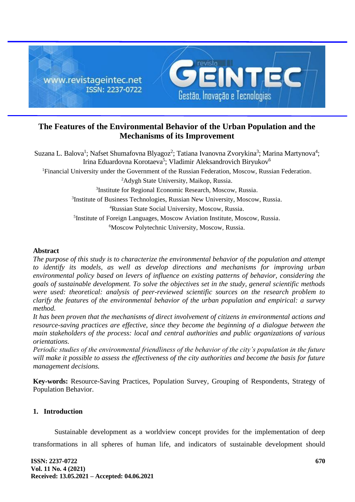

# **The Features of the Environmental Behavior of the Urban Population and the Mechanisms of its Improvement**

Suzana L. Balova<sup>1</sup>; Nafset Shumafovna Blyagoz<sup>2</sup>; Tatiana Ivanovna Zvorykina<sup>3</sup>; Marina Martynova<sup>4</sup>; Irina Eduardovna Korotaeva<sup>5</sup>; Vladimir Aleksandrovich Biryukov<sup>6</sup> Financial University under the Government of the Russian Federation, Moscow, Russian Federation. Adygh State University, Maikop, Russia. Institute for Regional Economic Research, Moscow, Russia. Institute of Business Technologies, Russian New University, Moscow, Russia. Russian State Social University, Moscow, Russia. Institute of Foreign Languages, Moscow Aviation Institute, Moscow, Russia. Moscow Polytechnic University, Moscow, Russia.

## **Abstract**

*The purpose of this study is to characterize the environmental behavior of the population and attempt to identify its models, as well as develop directions and mechanisms for improving urban environmental policy based on levers of influence on existing patterns of behavior, considering the goals of sustainable development. To solve the objectives set in the study, general scientific methods were used: theoretical: analysis of peer-reviewed scientific sources on the research problem to clarify the features of the environmental behavior of the urban population and empirical: a survey method.*

*It has been proven that the mechanisms of direct involvement of citizens in environmental actions and resource-saving practices are effective, since they become the beginning of a dialogue between the main stakeholders of the process: local and central authorities and public organizations of various orientations.*

*Periodic studies of the environmental friendliness of the behavior of the city's population in the future will make it possible to assess the effectiveness of the city authorities and become the basis for future management decisions.*

**Key-words:** Resource-Saving Practices, Population Survey, Grouping of Respondents, Strategy of Population Behavior.

## **1. Introduction**

Sustainable development as a worldview concept provides for the implementation of deep transformations in all spheres of human life, and indicators of sustainable development should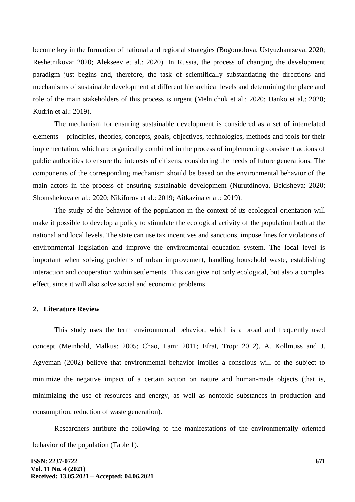become key in the formation of national and regional strategies (Bogomolova, Ustyuzhantseva: 2020; Reshetnikova: 2020; Alekseev et al.: 2020). In Russia, the process of changing the development paradigm just begins and, therefore, the task of scientifically substantiating the directions and mechanisms of sustainable development at different hierarchical levels and determining the place and role of the main stakeholders of this process is urgent (Melnichuk et al.: 2020; Danko et al.: 2020; Kudrin et al.: 2019).

The mechanism for ensuring sustainable development is considered as a set of interrelated elements – principles, theories, concepts, goals, objectives, technologies, methods and tools for their implementation, which are organically combined in the process of implementing consistent actions of public authorities to ensure the interests of citizens, considering the needs of future generations. The components of the corresponding mechanism should be based on the environmental behavior of the main actors in the process of ensuring sustainable development (Nurutdinova, Bekisheva: 2020; Shomshekova et al.: 2020; Nikiforov et al.: 2019; Aitkazina et al.: 2019).

The study of the behavior of the population in the context of its ecological orientation will make it possible to develop a policy to stimulate the ecological activity of the population both at the national and local levels. The state can use tax incentives and sanctions, impose fines for violations of environmental legislation and improve the environmental education system. The local level is important when solving problems of urban improvement, handling household waste, establishing interaction and cooperation within settlements. This can give not only ecological, but also a complex effect, since it will also solve social and economic problems.

#### **2. Literature Review**

This study uses the term environmental behavior, which is a broad and frequently used concept (Meinhold, Malkus: 2005; Chao, Lam: 2011; Efrat, Trop: 2012). A. Kollmuss and J. Agyeman (2002) believe that environmental behavior implies a conscious will of the subject to minimize the negative impact of a certain action on nature and human-made objects (that is, minimizing the use of resources and energy, as well as nontoxic substances in production and consumption, reduction of waste generation).

Researchers attribute the following to the manifestations of the environmentally oriented behavior of the population (Table 1).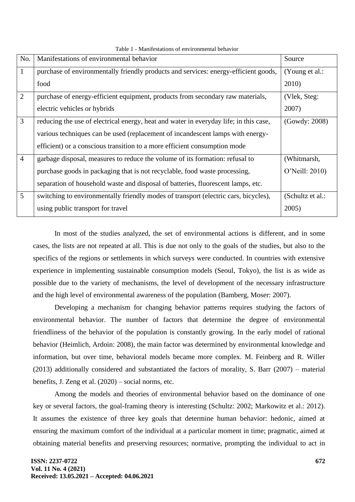| No.            | Manifestations of environmental behavior                                              | Source           |
|----------------|---------------------------------------------------------------------------------------|------------------|
| $\mathbf{1}$   | purchase of environmentally friendly products and services: energy-efficient goods,   | (Young et al.:   |
|                | food                                                                                  | 2010)            |
| $\overline{2}$ | purchase of energy-efficient equipment, products from secondary raw materials,        | (Vlek, Steg:     |
|                | electric vehicles or hybrids                                                          | 2007)            |
| 3              | reducing the use of electrical energy, heat and water in everyday life; in this case, | (Gowdy: 2008)    |
|                | various techniques can be used (replacement of incandescent lamps with energy-        |                  |
|                | efficient) or a conscious transition to a more efficient consumption mode             |                  |
| $\overline{4}$ | garbage disposal, measures to reduce the volume of its formation: refusal to          | (Whitmarsh,      |
|                | purchase goods in packaging that is not recyclable, food waste processing,            | O'Neill: 2010)   |
|                | separation of household waste and disposal of batteries, fluorescent lamps, etc.      |                  |
| 5              | switching to environmentally friendly modes of transport (electric cars, bicycles),   | (Schultz et al.: |
|                | using public transport for travel                                                     | 2005             |

Table 1 - Manifestations of environmental behavior

In most of the studies analyzed, the set of environmental actions is different, and in some cases, the lists are not repeated at all. This is due not only to the goals of the studies, but also to the specifics of the regions or settlements in which surveys were conducted. In countries with extensive experience in implementing sustainable consumption models (Seoul, Tokyo), the list is as wide as possible due to the variety of mechanisms, the level of development of the necessary infrastructure and the high level of environmental awareness of the population (Bamberg, Moser: 2007).

Developing a mechanism for changing behavior patterns requires studying the factors of environmental behavior. The number of factors that determine the degree of environmental friendliness of the behavior of the population is constantly growing. In the early model of rational behavior (Heimlich, Ardoin: 2008), the main factor was determined by environmental knowledge and information, but over time, behavioral models became more complex. M. Feinberg and R. Willer (2013) additionally considered and substantiated the factors of morality, S. Barr (2007) – material benefits, J. Zeng et al. (2020) – social norms, etc.

Among the models and theories of environmental behavior based on the dominance of one key or several factors, the goal-framing theory is interesting (Schultz: 2002; Markowitz et al.: 2012). It assumes the existence of three key goals that determine human behavior: hedonic, aimed at ensuring the maximum comfort of the individual at a particular moment in time; pragmatic, aimed at obtaining material benefits and preserving resources; normative, prompting the individual to act in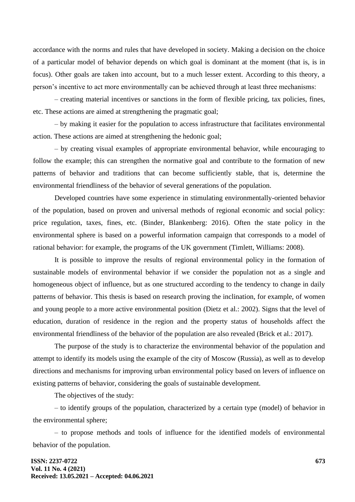accordance with the norms and rules that have developed in society. Making a decision on the choice of a particular model of behavior depends on which goal is dominant at the moment (that is, is in focus). Other goals are taken into account, but to a much lesser extent. According to this theory, a person's incentive to act more environmentally can be achieved through at least three mechanisms:

– creating material incentives or sanctions in the form of flexible pricing, tax policies, fines, etc. These actions are aimed at strengthening the pragmatic goal;

– by making it easier for the population to access infrastructure that facilitates environmental action. These actions are aimed at strengthening the hedonic goal;

– by creating visual examples of appropriate environmental behavior, while encouraging to follow the example; this can strengthen the normative goal and contribute to the formation of new patterns of behavior and traditions that can become sufficiently stable, that is, determine the environmental friendliness of the behavior of several generations of the population.

Developed countries have some experience in stimulating environmentally-oriented behavior of the population, based on proven and universal methods of regional economic and social policy: price regulation, taxes, fines, etc. (Binder, Blankenberg: 2016). Often the state policy in the environmental sphere is based on a powerful information campaign that corresponds to a model of rational behavior: for example, the programs of the UK government (Timlett, Williams: 2008).

It is possible to improve the results of regional environmental policy in the formation of sustainable models of environmental behavior if we consider the population not as a single and homogeneous object of influence, but as one structured according to the tendency to change in daily patterns of behavior. This thesis is based on research proving the inclination, for example, of women and young people to a more active environmental position (Dietz et al.: 2002). Signs that the level of education, duration of residence in the region and the property status of households affect the environmental friendliness of the behavior of the population are also revealed (Brick et al.: 2017).

The purpose of the study is to characterize the environmental behavior of the population and attempt to identify its models using the example of the city of Moscow (Russia), as well as to develop directions and mechanisms for improving urban environmental policy based on levers of influence on existing patterns of behavior, considering the goals of sustainable development.

The objectives of the study:

– to identify groups of the population, characterized by a certain type (model) of behavior in the environmental sphere;

– to propose methods and tools of influence for the identified models of environmental behavior of the population.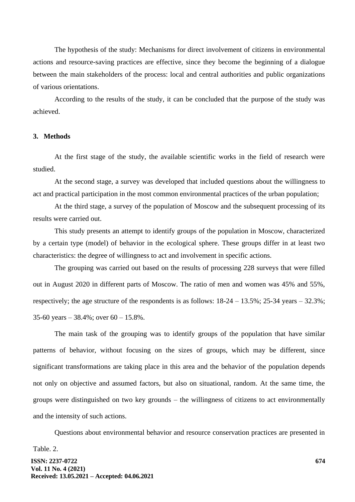The hypothesis of the study: Mechanisms for direct involvement of citizens in environmental actions and resource-saving practices are effective, since they become the beginning of a dialogue between the main stakeholders of the process: local and central authorities and public organizations of various orientations.

According to the results of the study, it can be concluded that the purpose of the study was achieved.

## **3. Methods**

At the first stage of the study, the available scientific works in the field of research were studied.

At the second stage, a survey was developed that included questions about the willingness to act and practical participation in the most common environmental practices of the urban population;

At the third stage, a survey of the population of Moscow and the subsequent processing of its results were carried out.

This study presents an attempt to identify groups of the population in Moscow, characterized by a certain type (model) of behavior in the ecological sphere. These groups differ in at least two characteristics: the degree of willingness to act and involvement in specific actions.

The grouping was carried out based on the results of processing 228 surveys that were filled out in August 2020 in different parts of Moscow. The ratio of men and women was 45% and 55%, respectively; the age structure of the respondents is as follows: 18-24 – 13.5%; 25-34 years – 32.3%; 35-60 years –  $38.4\%$ ; over  $60 - 15.8\%$ .

The main task of the grouping was to identify groups of the population that have similar patterns of behavior, without focusing on the sizes of groups, which may be different, since significant transformations are taking place in this area and the behavior of the population depends not only on objective and assumed factors, but also on situational, random. At the same time, the groups were distinguished on two key grounds – the willingness of citizens to act environmentally and the intensity of such actions.

Questions about environmental behavior and resource conservation practices are presented in

Table. 2.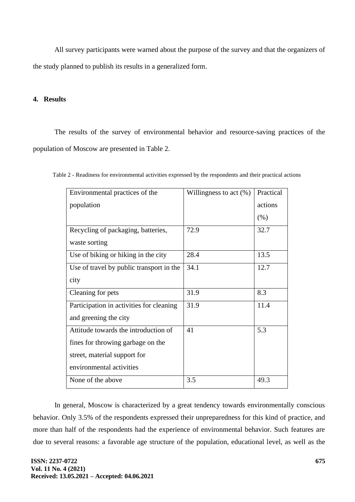All survey participants were warned about the purpose of the survey and that the organizers of the study planned to publish its results in a generalized form.

## **4. Results**

The results of the survey of environmental behavior and resource-saving practices of the population of Moscow are presented in Table 2.

| Environmental practices of the           | Willingness to act $(\%)$ | Practical |
|------------------------------------------|---------------------------|-----------|
| population                               |                           | actions   |
|                                          |                           | (% )      |
| Recycling of packaging, batteries,       | 72.9                      | 32.7      |
| waste sorting                            |                           |           |
| Use of biking or hiking in the city      | 28.4                      | 13.5      |
| Use of travel by public transport in the | 34.1                      | 12.7      |
| city                                     |                           |           |
| Cleaning for pets                        | 31.9                      | 8.3       |
| Participation in activities for cleaning | 31.9                      | 11.4      |
| and greening the city                    |                           |           |
| Attitude towards the introduction of     | 41                        | 5.3       |
| fines for throwing garbage on the        |                           |           |
| street, material support for             |                           |           |
| environmental activities                 |                           |           |
| None of the above                        | 3.5                       | 49.3      |

Table 2 - Readiness for environmental activities expressed by the respondents and their practical actions

In general, Moscow is characterized by a great tendency towards environmentally conscious behavior. Only 3.5% of the respondents expressed their unpreparedness for this kind of practice, and more than half of the respondents had the experience of environmental behavior. Such features are due to several reasons: a favorable age structure of the population, educational level, as well as the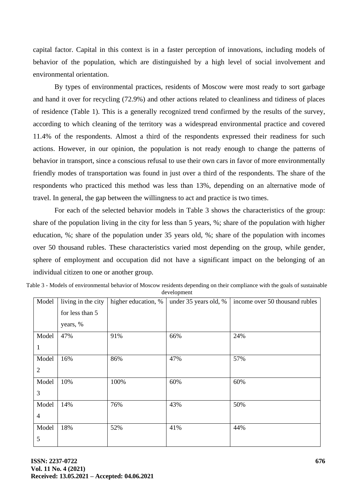capital factor. Capital in this context is in a faster perception of innovations, including models of behavior of the population, which are distinguished by a high level of social involvement and environmental orientation.

By types of environmental practices, residents of Moscow were most ready to sort garbage and hand it over for recycling (72.9%) and other actions related to cleanliness and tidiness of places of residence (Table 1). This is a generally recognized trend confirmed by the results of the survey, according to which cleaning of the territory was a widespread environmental practice and covered 11.4% of the respondents. Almost a third of the respondents expressed their readiness for such actions. However, in our opinion, the population is not ready enough to change the patterns of behavior in transport, since a conscious refusal to use their own cars in favor of more environmentally friendly modes of transportation was found in just over a third of the respondents. The share of the respondents who practiced this method was less than 13%, depending on an alternative mode of travel. In general, the gap between the willingness to act and practice is two times.

For each of the selected behavior models in Table 3 shows the characteristics of the group: share of the population living in the city for less than 5 years, %; share of the population with higher education, %; share of the population under 35 years old, %; share of the population with incomes over 50 thousand rubles. These characteristics varied most depending on the group, while gender, sphere of employment and occupation did not have a significant impact on the belonging of an individual citizen to one or another group.

| Table 3 - Models of environmental behavior of Moscow residents depending on their compliance with the goals of sustainable |
|----------------------------------------------------------------------------------------------------------------------------|
| development                                                                                                                |

| Model          | living in the city | higher education, % | under 35 years old, % | income over 50 thousand rubles |
|----------------|--------------------|---------------------|-----------------------|--------------------------------|
|                | for less than 5    |                     |                       |                                |
|                | years, %           |                     |                       |                                |
| Model          | 47%                | 91%                 | 66%                   | 24%                            |
| $\mathbf{1}$   |                    |                     |                       |                                |
| Model          | 16%                | 86%                 | 47%                   | 57%                            |
| $\overline{2}$ |                    |                     |                       |                                |
| Model          | 10%                | 100%                | 60%                   | 60%                            |
| 3              |                    |                     |                       |                                |
| Model          | 14%                | 76%                 | 43%                   | 50%                            |
| $\overline{4}$ |                    |                     |                       |                                |
| Model          | 18%                | 52%                 | 41%                   | 44%                            |
| 5              |                    |                     |                       |                                |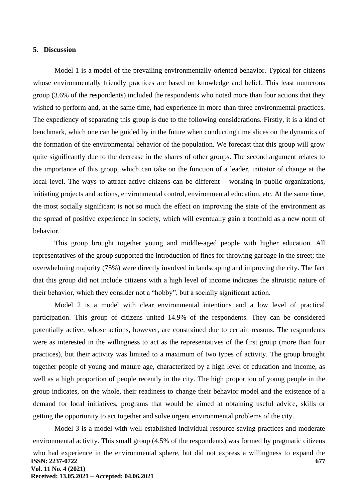#### **5. Discussion**

Model 1 is a model of the prevailing environmentally-oriented behavior. Typical for citizens whose environmentally friendly practices are based on knowledge and belief. This least numerous group (3.6% of the respondents) included the respondents who noted more than four actions that they wished to perform and, at the same time, had experience in more than three environmental practices. The expediency of separating this group is due to the following considerations. Firstly, it is a kind of benchmark, which one can be guided by in the future when conducting time slices on the dynamics of the formation of the environmental behavior of the population. We forecast that this group will grow quite significantly due to the decrease in the shares of other groups. The second argument relates to the importance of this group, which can take on the function of a leader, initiator of change at the local level. The ways to attract active citizens can be different – working in public organizations, initiating projects and actions, environmental control, environmental education, etc. At the same time, the most socially significant is not so much the effect on improving the state of the environment as the spread of positive experience in society, which will eventually gain a foothold as a new norm of behavior.

This group brought together young and middle-aged people with higher education. All representatives of the group supported the introduction of fines for throwing garbage in the street; the overwhelming majority (75%) were directly involved in landscaping and improving the city. The fact that this group did not include citizens with a high level of income indicates the altruistic nature of their behavior, which they consider not a "hobby", but a socially significant action.

Model 2 is a model with clear environmental intentions and a low level of practical participation. This group of citizens united 14.9% of the respondents. They can be considered potentially active, whose actions, however, are constrained due to certain reasons. The respondents were as interested in the willingness to act as the representatives of the first group (more than four practices), but their activity was limited to a maximum of two types of activity. The group brought together people of young and mature age, characterized by a high level of education and income, as well as a high proportion of people recently in the city. The high proportion of young people in the group indicates, on the whole, their readiness to change their behavior model and the existence of a demand for local initiatives, programs that would be aimed at obtaining useful advice, skills or getting the opportunity to act together and solve urgent environmental problems of the city.

**ISSN: 2237-0722 Vol. 11 No. 4 (2021) Received: 13.05.2021 – Accepted: 04.06.2021 677** Model 3 is a model with well-established individual resource-saving practices and moderate environmental activity. This small group (4.5% of the respondents) was formed by pragmatic citizens who had experience in the environmental sphere, but did not express a willingness to expand the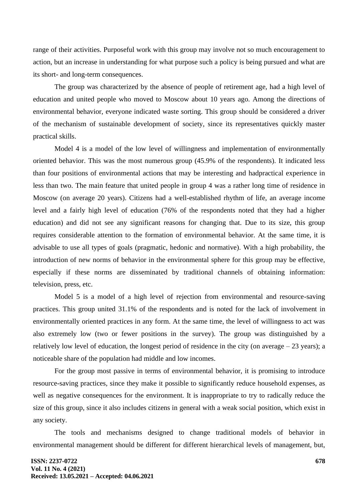range of their activities. Purposeful work with this group may involve not so much encouragement to action, but an increase in understanding for what purpose such a policy is being pursued and what are its short- and long-term consequences.

The group was characterized by the absence of people of retirement age, had a high level of education and united people who moved to Moscow about 10 years ago. Among the directions of environmental behavior, everyone indicated waste sorting. This group should be considered a driver of the mechanism of sustainable development of society, since its representatives quickly master practical skills.

Model 4 is a model of the low level of willingness and implementation of environmentally oriented behavior. This was the most numerous group (45.9% of the respondents). It indicated less than four positions of environmental actions that may be interesting and hadpractical experience in less than two. The main feature that united people in group 4 was a rather long time of residence in Moscow (on average 20 years). Citizens had a well-established rhythm of life, an average income level and a fairly high level of education (76% of the respondents noted that they had a higher education) and did not see any significant reasons for changing that. Due to its size, this group requires considerable attention to the formation of environmental behavior. At the same time, it is advisable to use all types of goals (pragmatic, hedonic and normative). With a high probability, the introduction of new norms of behavior in the environmental sphere for this group may be effective, especially if these norms are disseminated by traditional channels of obtaining information: television, press, etc.

Model 5 is a model of a high level of rejection from environmental and resource-saving practices. This group united 31.1% of the respondents and is noted for the lack of involvement in environmentally oriented practices in any form. At the same time, the level of willingness to act was also extremely low (two or fewer positions in the survey). The group was distinguished by a relatively low level of education, the longest period of residence in the city (on average  $-23$  years); a noticeable share of the population had middle and low incomes.

For the group most passive in terms of environmental behavior, it is promising to introduce resource-saving practices, since they make it possible to significantly reduce household expenses, as well as negative consequences for the environment. It is inappropriate to try to radically reduce the size of this group, since it also includes citizens in general with a weak social position, which exist in any society.

The tools and mechanisms designed to change traditional models of behavior in environmental management should be different for different hierarchical levels of management, but,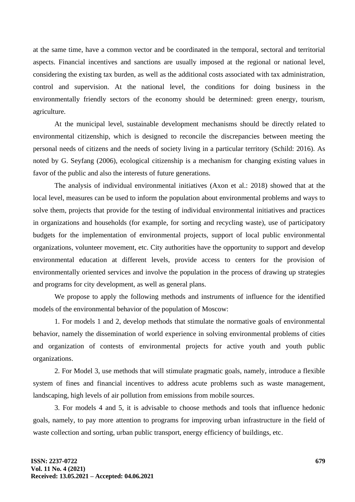at the same time, have a common vector and be coordinated in the temporal, sectoral and territorial aspects. Financial incentives and sanctions are usually imposed at the regional or national level, considering the existing tax burden, as well as the additional costs associated with tax administration, control and supervision. At the national level, the conditions for doing business in the environmentally friendly sectors of the economy should be determined: green energy, tourism, agriculture.

At the municipal level, sustainable development mechanisms should be directly related to environmental citizenship, which is designed to reconcile the discrepancies between meeting the personal needs of citizens and the needs of society living in a particular territory (Schild: 2016). As noted by G. Seyfang (2006), ecological citizenship is a mechanism for changing existing values in favor of the public and also the interests of future generations.

The analysis of individual environmental initiatives (Axon et al.: 2018) showed that at the local level, measures can be used to inform the population about environmental problems and ways to solve them, projects that provide for the testing of individual environmental initiatives and practices in organizations and households (for example, for sorting and recycling waste), use of participatory budgets for the implementation of environmental projects, support of local public environmental organizations, volunteer movement, etc. City authorities have the opportunity to support and develop environmental education at different levels, provide access to centers for the provision of environmentally oriented services and involve the population in the process of drawing up strategies and programs for city development, as well as general plans.

We propose to apply the following methods and instruments of influence for the identified models of the environmental behavior of the population of Moscow:

1. For models 1 and 2, develop methods that stimulate the normative goals of environmental behavior, namely the dissemination of world experience in solving environmental problems of cities and organization of contests of environmental projects for active youth and youth public organizations.

2. For Model 3, use methods that will stimulate pragmatic goals, namely, introduce a flexible system of fines and financial incentives to address acute problems such as waste management, landscaping, high levels of air pollution from emissions from mobile sources.

3. For models 4 and 5, it is advisable to choose methods and tools that influence hedonic goals, namely, to pay more attention to programs for improving urban infrastructure in the field of waste collection and sorting, urban public transport, energy efficiency of buildings, etc.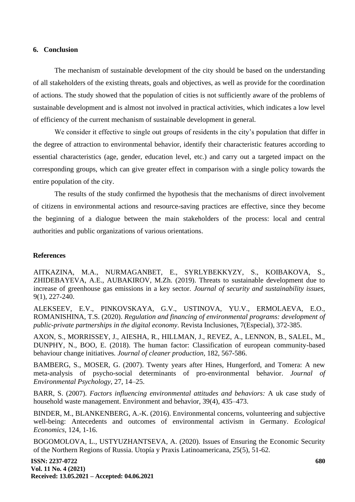### **6. Conclusion**

The mechanism of sustainable development of the city should be based on the understanding of all stakeholders of the existing threats, goals and objectives, as well as provide for the coordination of actions. The study showed that the population of cities is not sufficiently aware of the problems of sustainable development and is almost not involved in practical activities, which indicates a low level of efficiency of the current mechanism of sustainable development in general.

We consider it effective to single out groups of residents in the city's population that differ in the degree of attraction to environmental behavior, identify their characteristic features according to essential characteristics (age, gender, education level, etc.) and carry out a targeted impact on the corresponding groups, which can give greater effect in comparison with a single policy towards the entire population of the city.

The results of the study confirmed the hypothesis that the mechanisms of direct involvement of citizens in environmental actions and resource-saving practices are effective, since they become the beginning of a dialogue between the main stakeholders of the process: local and central authorities and public organizations of various orientations.

### **References**

AITKAZINA, M.A., NURMAGANBET, E., SYRLYBEKKYZY, S., KOIBAKOVA, S., ZHIDEBAYEVA, A.E., AUBAKIROV, M.Zh. (2019). Threats to sustainable development due to increase of greenhouse gas emissions in a key sector. *Journal of security and sustainability issues,* 9(1), 227-240.

ALEKSEEV, E.V., PINKOVSKAYA, G.V., USTINOVA, YU.V., ERMOLAEVA, E.O., ROMANISHINA, T.S. (2020). *Regulation and financing of environmental programs: development of public-private partnerships in the digital economy*. Revista Inclusiones, 7(Especial), 372-385.

AXON, S., MORRISSEY, J., AIESHA, R., HILLMAN, J., REVEZ, A., LENNON, B., SALEL, M., DUNPHY, N., BOO, E. (2018). The human factor: Classification of european community-based behaviour change initiatives*. Journal of cleaner production,* 182, 567-586.

BAMBERG, S., MOSER, G. (2007). Twenty years after Hines, Hungerford, and Tomera: A new meta-analysis of psycho-social determinants of pro-environmental behavior. *Journal of Environmental Psychology*, 27, 14–25.

BARR, S. (2007). *Factors influencing environmental attitudes and behaviors:* A uk case study of household waste management. Environment and behavior, 39(4), 435–473.

BINDER, M., BLANKENBERG, A.-K. (2016). Environmental concerns, volunteering and subjective well-being: Antecedents and outcomes of environmental activism in Germany. *Ecological Economics,* 124, 1-16.

BOGOMOLOVA, L., USTYUZHANTSEVA, A. (2020). Issues of Ensuring the Economic Security of the Northern Regions of Russia. Utopía y Praxis Latinoamericana, 25(5), 51-62.

**ISSN: 2237-0722 Vol. 11 No. 4 (2021) Received: 13.05.2021 – Accepted: 04.06.2021**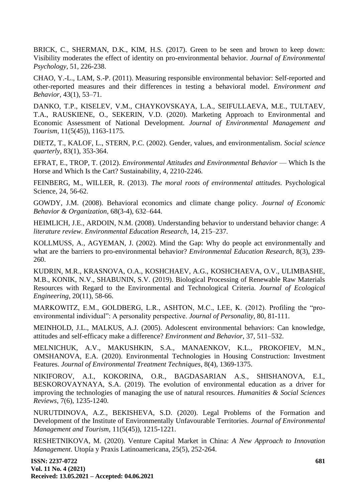BRICK, C., SHERMAN, D.K., KIM, H.S. (2017). Green to be seen and brown to keep down: Visibility moderates the effect of identity on pro-environmental behavior. *Journal of Environmental Psychology,* 51, 226-238.

CHAO, Y.-L., LAM, S.-P. (2011). Measuring responsible environmental behavior: Self-reported and other-reported measures and their differences in testing a behavioral model. *Environment and Behavior*, 43(1), 53–71.

DANKO, T.P., KISELEV, V.M., CHAYKOVSKAYA, L.A., SEIFULLAEVA, M.E., TULTAEV, T.A., RAUSKIENE, O., SEKERIN, V.D. (2020). Marketing Approach to Environmental and Economic Assessment of National Development. *Journal of Environmental Management and Tourism*, 11(5(45)), 1163-1175.

DIETZ, T., KALOF, L., STERN, P.C. (2002). Gender, values, and environmentalism. *Social science quarterly*, 83(1), 353-364.

EFRAT, E., TROP, T. (2012). *Environmental Attitudes and Environmental Behavior* — Which Is the Horse and Which Is the Cart? Sustainability, 4, 2210-2246.

FEINBERG, M., WILLER, R. (2013). *The moral roots of environmental attitudes.* Psychological Science, 24, 56-62.

GOWDY, J.M. (2008). Behavioral economics and climate change policy. *Journal of Economic Behavior & Organization,* 68(3-4), 632–644.

HEIMLICH, J.E., ARDOIN, N.M. (2008). Understanding behavior to understand behavior change: *A literature review. Environmental Education Research*, 14, 215–237.

KOLLMUSS, A., AGYEMAN, J. (2002). Mind the Gap: Why do people act environmentally and what are the barriers to pro-environmental behavior? *Environmental Education Research*, 8(3), 239- 260.

KUDRIN, M.R., KRASNOVA, O.A., KOSHCHAEV, A.G., KOSHCHAEVA, O.V., ULIMBASHE, M.B., KONIK, N.V., SHABUNIN, S.V. (2019). Biological Processing of Renewable Raw Materials Resources with Regard to the Environmental and Technological Criteria. *Journal of Ecological Engineering*, 20(11), 58-66.

MARKOWITZ, E.M., GOLDBERG, L.R., ASHTON, M.C., LEE, K. (2012). Profiling the "proenvironmental individual": A personality perspective. *Journal of Personality*, 80, 81-111.

MEINHOLD, J.L., MALKUS, A.J. (2005). Adolescent environmental behaviors: Can knowledge, attitudes and self-efficacy make a difference? *Environment and Behavior*, 37, 511–532.

MELNICHUK, A.V., MAKUSHKIN, S.A., MANAENKOV, K.L., PROKOFIEV, M.N., OMSHANOVA, E.A. (2020). Environmental Technologies in Housing Construction: Investment Features. *Journal of Environmental Treatment Techniques*, 8(4), 1369-1375.

NIKIFOROV, A.I., KOKORINA, O.R., BAGDASARIAN A.S., SHISHANOVA, E.I., BESKOROVAYNAYA, S.A. (2019). The evolution of environmental education as a driver for improving the technologies of managing the use of natural resources. *Humanities & Social Sciences Reviews*, 7(6), 1235-1240.

NURUTDINOVA, A.Z., BEKISHEVA, S.D. (2020). Legal Problems of the Formation and Development of the Institute of Environmentally Unfavourable Territories. *Journal of Environmental Management and Tourism,* 11(5(45)), 1215-1221.

RESHETNIKOVA, M. (2020). Venture Capital Market in China: *A New Approach to Innovation Management*. Utopía y Praxis Latinoamericana, 25(5), 252-264.